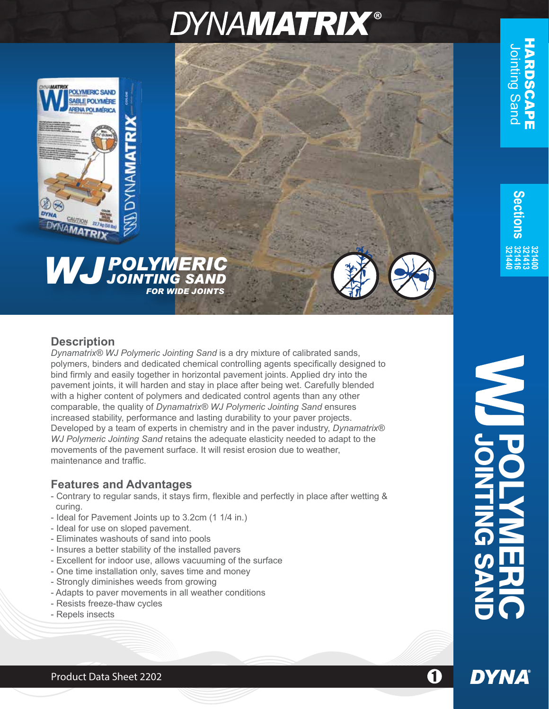# **DYNAMATRIX®**



## *POLYMERIC WJJOINTING SAND FOR WIDE JOINTS*

## **Description**

*Dynamatrix® WJ Polymeric Jointing Sand* is a dry mixture of calibrated sands, polymers, binders and dedicated chemical controlling agents specifically designed to bind firmly and easily together in horizontal pavement joints. Applied dry into the pavement joints, it will harden and stay in place after being wet. Carefully blended with a higher content of polymers and dedicated control agents than any other comparable, the quality of *Dynamatrix® WJ Polymeric Jointing Sand* ensures increased stability, performance and lasting durability to your paver projects. Developed by a team of experts in chemistry and in the paver industry, *Dynamatrix® WJ Polymeric Jointing Sand* retains the adequate elasticity needed to adapt to the movements of the pavement surface. It will resist erosion due to weather, maintenance and traffic.

## **Features and Advantages**

- Contrary to regular sands, it stays firm, flexible and perfectly in place after wetting & curing.
- Ideal for Pavement Joints up to 3.2cm (1 1/4 in.)
- Ideal for use on sloped pavement.
- Eliminates washouts of sand into pools
- Insures a better stability of the installed pavers
- Excellent for indoor use, allows vacuuming of the surface
- One time installation only, saves time and money
- Strongly diminishes weeds from growing
- Adapts to paver movements in all weather conditions
- Resists freeze-thaw cycles
- Repels insects

**S e ctions 321440 321416 321413**

**DYNA** 

Product Data Sheet 2202 1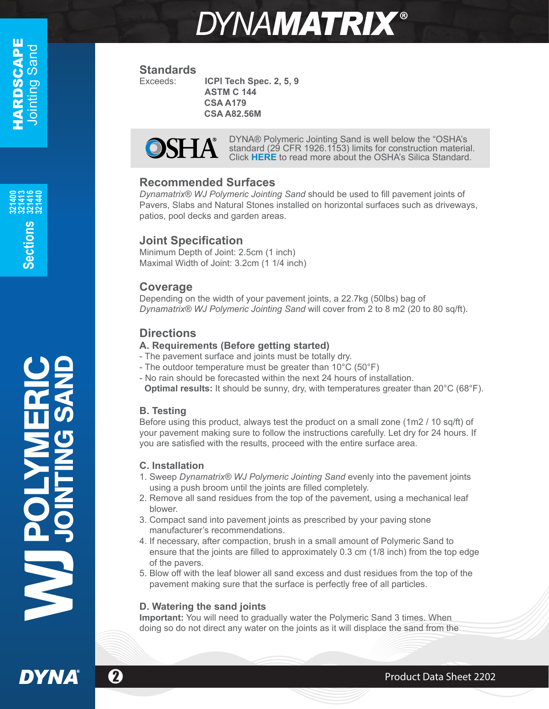<u>ဟ</u> **e**

**ctions**

**321400 321413 321416 321440**

# **DYNAMATRIX®**

## **Standards**<br>Exceeds:

**ICPI Tech Spec. 2, 5, 9 ASTM C 144 CSA A179 CSA A82.56M**



DYNA® Polymeric Jointing Sand is well below the "OSHA's [standard \(29 CFR 1926.1153\) limits for construction material.](https://www.osha.gov/silica/SilicaConstructionRegText.pdf) Click **HERE** to read more about the OSHA's Silica Standard.

## **Recommended Surfaces**

*Dynamatrix® WJ Polymeric Jointing Sand* should be used to fill pavement joints of Pavers, Slabs and Natural Stones installed on horizontal surfaces such as driveways, patios, pool decks and garden areas.

## **Joint Specification**

Minimum Depth of Joint: 2.5cm (1 inch) Maximal Width of Joint: 3.2cm (1 1/4 inch)

## **Coverage**

Depending on the width of your pavement joints, a 22.7kg (50lbs) bag of *Dynamatrix® WJ Polymeric Jointing Sand* will cover from 2 to 8 m2 (20 to 80 sq/ft).

## **Directions**

### **A. Requirements (Before getting started)**

- The pavement surface and joints must be totally dry.
- The outdoor temperature must be greater than 10°C (50°F)
- No rain should be forecasted within the next 24 hours of installation. **Optimal results:** It should be sunny, dry, with temperatures greater than 20°C (68°F).

### **B. Testing**

Before using this product, always test the product on a small zone (1m2 / 10 sq/ft) of your pavement making sure to follow the instructions carefully. Let dry for 24 hours. If you are satisfied with the results, proceed with the entire surface area.

### **C. Installation**

- 1. Sweep *Dynamatrix® WJ Polymeric Jointing Sand* evenly into the pavement joints using a push broom until the joints are filled completely.
- 2. Remove all sand residues from the top of the pavement, using a mechanical leaf blower.
- 3. Compact sand into pavement joints as prescribed by your paving stone manufacturer's recommendations.
- 4. If necessary, after compaction, brush in a small amount of Polymeric Sand to ensure that the joints are filled to approximately 0.3 cm (1/8 inch) from the top edge of the pavers.
- 5. Blow off with the leaf blower all sand excess and dust residues from the top of the pavement making sure that the surface is perfectly free of all particles.

### **D. Watering the sand joints**

**Important:** You will need to gradually water the Polymeric Sand 3 times. When doing so do not direct any water on the joints as it will displace the sand from the

POLYMERIC

JOINTING SAND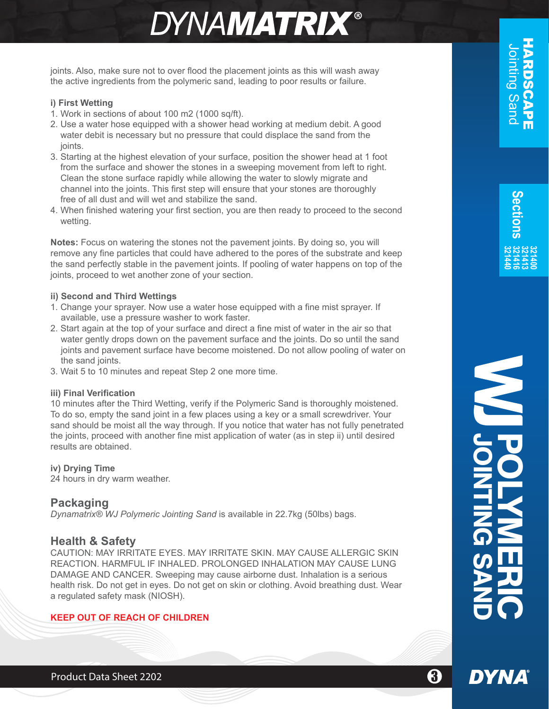## **DYNAMATRIX®**

joints. Also, make sure not to over flood the placement joints as this will wash away the active ingredients from the polymeric sand, leading to poor results or failure.

#### **i) First Wetting**

- 1. Work in sections of about 100 m2 (1000 sq/ft).
- 2. Use a water hose equipped with a shower head working at medium debit. A good water debit is necessary but no pressure that could displace the sand from the ioints.
- 3. Starting at the highest elevation of your surface, position the shower head at 1 foot from the surface and shower the stones in a sweeping movement from left to right. Clean the stone surface rapidly while allowing the water to slowly migrate and channel into the joints. This first step will ensure that your stones are thoroughly free of all dust and will wet and stabilize the sand.
- 4. When finished watering your first section, you are then ready to proceed to the second wetting.

**Notes:** Focus on watering the stones not the pavement joints. By doing so, you will remove any fine particles that could have adhered to the pores of the substrate and keep the sand perfectly stable in the pavement joints. If pooling of water happens on top of the joints, proceed to wet another zone of your section.

#### **ii) Second and Third Wettings**

- 1. Change your sprayer. Now use a water hose equipped with a fine mist sprayer. If available, use a pressure washer to work faster.
- 2. Start again at the top of your surface and direct a fine mist of water in the air so that water gently drops down on the pavement surface and the joints. Do so until the sand joints and pavement surface have become moistened. Do not allow pooling of water on the sand joints.
- 3. Wait 5 to 10 minutes and repeat Step 2 one more time.

#### **iii) Final Verification**

10 minutes after the Third Wetting, verify if the Polymeric Sand is thoroughly moistened. To do so, empty the sand joint in a few places using a key or a small screwdriver. Your sand should be moist all the way through. If you notice that water has not fully penetrated the joints, proceed with another fine mist application of water (as in step ii) until desired results are obtained.

#### **iv) Drying Time**

24 hours in dry warm weather.

### **Packaging**

*Dynamatrix® WJ Polymeric Jointing Sand* is available in 22.7kg (50lbs) bags.

#### **Health & Safety**

CAUTION: MAY IRRITATE EYES. MAY IRRITATE SKIN. MAY CAUSE ALLERGIC SKIN REACTION. HARMFUL IF INHALED. PROLONGED INHALATION MAY CAUSE LUNG DAMAGE AND CANCER. Sweeping may cause airborne dust. Inhalation is a serious health risk. Do not get in eyes. Do not get on skin or clothing. Avoid breathing dust. Wear a regulated safety mask (NIOSH).

#### **KEEP OUT OF REACH OF CHILDREN**

<u>က</u> **e**

**DYNA**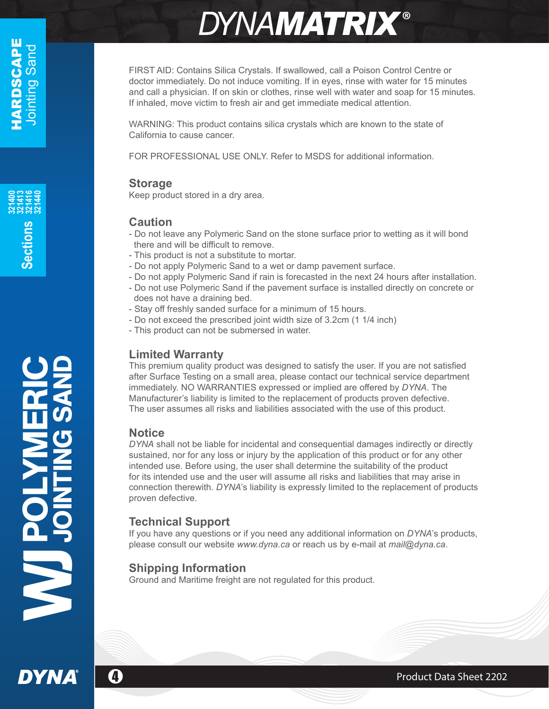POLYMERIC JOINTING SAND

# **DYNAMATRIX®**

FIRST AID: Contains Silica Crystals. If swallowed, call a Poison Control Centre or doctor immediately. Do not induce vomiting. If in eyes, rinse with water for 15 minutes and call a physician. If on skin or clothes, rinse well with water and soap for 15 minutes. If inhaled, move victim to fresh air and get immediate medical attention.

WARNING: This product contains silica crystals which are known to the state of California to cause cancer.

FOR PROFESSIONAL USE ONLY. Refer to MSDS for additional information.

## **Storage**

Keep product stored in a dry area.

## **Caution**

- Do not leave any Polymeric Sand on the stone surface prior to wetting as it will bond there and will be difficult to remove.
- This product is not a substitute to mortar.
- Do not apply Polymeric Sand to a wet or damp pavement surface.
- Do not apply Polymeric Sand if rain is forecasted in the next 24 hours after installation.
- Do not use Polymeric Sand if the pavement surface is installed directly on concrete or does not have a draining bed.
- Stay off freshly sanded surface for a minimum of 15 hours.
- Do not exceed the prescribed joint width size of 3.2cm (1 1/4 inch)
- This product can not be submersed in water.

## **Limited Warranty**

This premium quality product was designed to satisfy the user. If you are not satisfied after Surface Testing on a small area, please contact our technical service department immediately. NO WARRANTIES expressed or implied are offered by *DYNA*. The Manufacturer's liability is limited to the replacement of products proven defective. The user assumes all risks and liabilities associated with the use of this product.

## **Notice**

*DYNA* shall not be liable for incidental and consequential damages indirectly or directly sustained, nor for any loss or injury by the application of this product or for any other intended use. Before using, the user shall determine the suitability of the product for its intended use and the user will assume all risks and liabilities that may arise in connection therewith. *DYNA*'s liability is expressly limited to the replacement of products proven defective.

## **Technical Support**

If you have any questions or if you need any additional information on *DYNA*'s products, please consult our website *www.dyna.ca* or reach us by e-mail at *mail@dyna.ca*.

## **Shipping Information**

Ground and Maritime freight are not regulated for this product.

**DYNA** 

**4** Product Data Sheet 2202